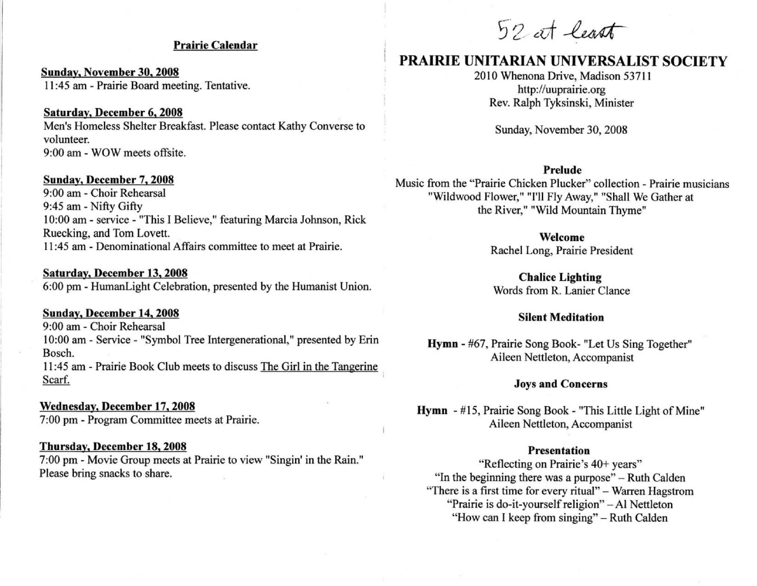## Prairie Calendar

Sunday. November 30. 2008 II :45 am - Prairie Board meeting. Tentative.

Saturday. December 6. 2008 Men's Homeless Shelter Breakfast. Please contact Kathy Converse to volunteer. 9:00 am - WOW meets offsite.

### Sunday. December 7. 2008

9:00 am - Choir Rehearsal 9:45 am - Nifty Gifty 10:00 am - service - "This I Believe," featuring Marcia Johnson, Rick Ruecking, and Tom Lovett. 11 :45 am - Denominational Affairs committee to meet at Prairie.

### Saturday. December 13. 2008

6:00 pm - HumanLight Celebration, presented by the Humanist Union.

## Sunday. December 14. 2008

9:00 am - Choir Rehearsal 10:00 am - Service - "Symbol Tree Intergenerational," presented by Erin Bosch.

11 :45 am - Prairie Book Club meets to discuss The Girl in the Tangerine Scarf.

## Wednesday. December 17. 2008

7:00 pm - Program Committee meets at Prairie.

### Thursday. December 18. 2008

7:00 pm - Movie Group meets at Prairie to view "Singin' in the Rain." Please bring snacks to share.

52 at least

# PRAIRIE UNITARIAN UNIVERSALIST SOCIETY

2010 Whenona Drive, Madison 53711 http://uuprairie.org Rev. Ralph Tyksinski, Minister

Sunday, November 30, 2008

### Prelude

Music from the "Prairie Chicken Plucker" collection - Prairie musicians "Wildwood Flower," ''I'll Fly Away," "Shall We Gather at the River," "Wild Mountain Thyme"

> Welcome Rachel Long, Prairie President

Chalice Lighting Words from R. Lanier Clance

### Silent Meditation

Hymn - #67, Prairie Song Book- "Let Us Sing Together" Aileen Nettleton, Accompanist

### Joys and Concerns

Hymn - #15, Prairie Song Book - "This Little Light of Mine" Aileen Nettleton, Accompanist

## Presentation

"Reflecting on Prairie's 40+ years" "In the beginning there was a purpose" – Ruth Calden "There is a first time for every ritual" - Warren Hagstrom "Prairie is do-it-yourself religion" - Al Nettleton "How can I keep from singing" - Ruth Calden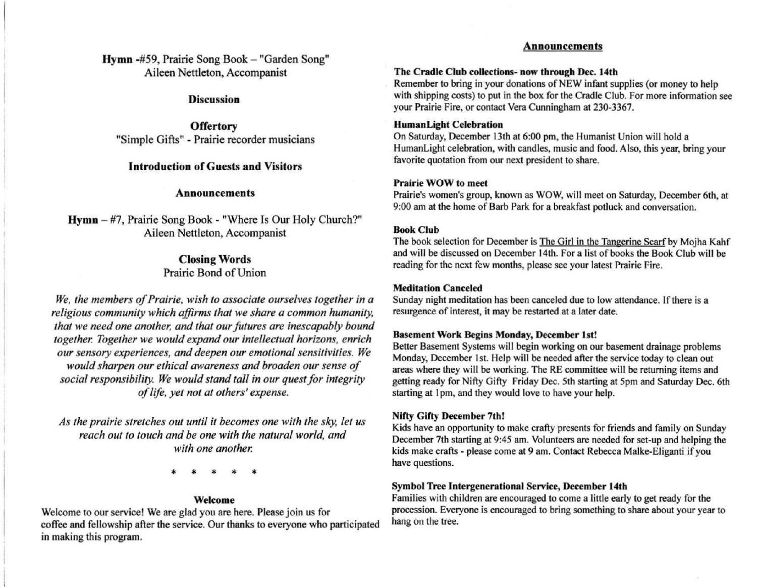Hymn -#59, Prairie Song Book - "Garden Song" Aileen Nettleton, Accompanist

### Discussion

**Offertory** "Simple Gifts" - Prairie recorder musicians

## Introduction of Guests and Visitors

### Announcements

Hymn - #7, Prairie Song Book - "Where Is Our Holy Church?" Aileen Nettleton, Accompanist

## Closing Words Prairie Bond of Union

*We, the members of Prairie. wish* 10 *associate ourselves together in a religious community which affirms that we share a common humanity.* that we need one another, and that our futures are inescapably bound *together. Together we would expand our intellectual horizons. enrich our sensory experiences, and deepen our emotional sensitivities. We would sharpen our ethical awareness and broaden our sense of social responsibility. We would stand tall in our quest for integrity of life, yet nol al olhers' expense.* 

*As Ihe prairie slrelches oul unlil* it *becomes one wilh Ihe sky, lei us reach out to touch and be one with the natural world, and with one another.* 

• • • • •

### Welcome

Welcome to our service! We are glad you are here. Please join us for coffee and fellowship after the service. Our thanks to everyone who participated in making this program.

### Announcements

#### The Cradle Club collections- now through Dec. 14th

Remember to bring in your donations of NEW infant supplies (or money to help with shipping costs) to put in the box for the Cradle Club. For more information see your Prairie Fire, or contact Vera Cunningham at 230-3367.

### HumanLight Celebration

On Saturday, December 13th at 6:00 pm, the Humanist Union will hold a HumanLight celebration, with candles, music and food. Also, this year, bring your favorite quotation from our next president to share.

### Prairie WOW to meet

Prairie's women's group, known as WOW, will meet on Saturday, December 6th, al 9:00 am at the home of Barb Park for a breakfast potluck and conversation.

### Book Club

The book selection for December is The Girl in the Tangerine Scarf by Mojha Kahf and will be discussed on December 14th. For a list of books the Book Club will be reading for the next few months, please see your latest Prairie Fire.

### Meditation Canceled

Sunday night meditation has been canceled due to low attendance. If there is a resurgence of interest, it may be restarted at a later date.

### Basement Work Begins Monday, December 1st!

Better Basement Systems will begin working on our basement drainage problems Monday, December 1st. Help will be needed after the service today to clean out areas where they will be working. The RE committee will be returning items and getting ready for Nifty Gifty Friday Dec. 5th starting at 5pm and Saturday Dec. 6th starting at 1pm, and they would love to have your help.

### Nifty Gifty December 7th!

Kids have an opportunity to make crafty presents for friends and family on Sunday December 7th starting at 9:45 am. Volunteers are needed for set-up and helping the kids make crafts - please come at 9 am. Contact Rebecca Malke-Eliganti if you have questions.

### Symbol Tree Intergenerational Service, December 14th

Families with children are encouraged to come a little early to get ready for the procession. Everyone is encouraged to bring something to share about your year to hang on the tree.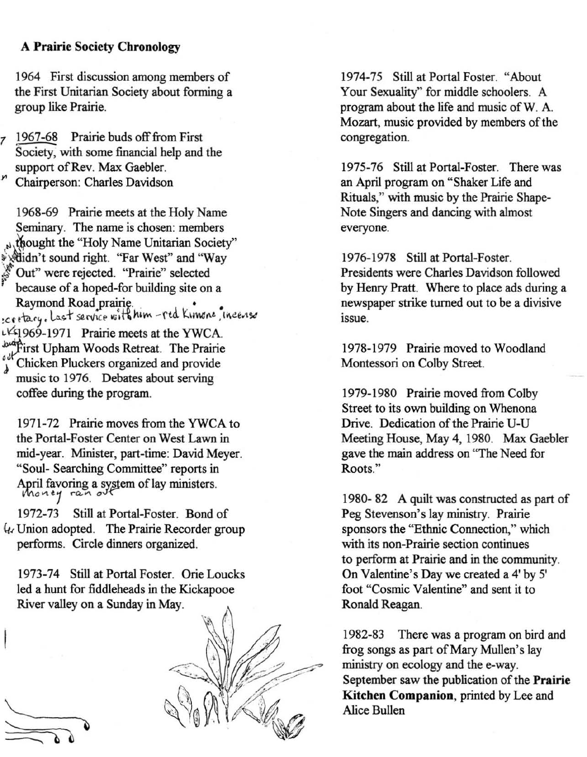## A **Prairie** Society **Chronology**

1964 First discussion among members of the First Unitarian Society about forming a group like Prairie.

1967-68 Prairie buds off from First Society, with some financial help and the support of Rev. Max Gaebler. <sup>~</sup>Chairperson: Charles Davidson

1968-69 Prairie meets at the Holy Name Seminary. The name is chosen: members thought the "Holy Name Unitarian Society" ~idn't sound right. "Far West" and "Way Out" were rejected. "Prairie" selected because of a hoped-for building site on a<br>Raymond Road prairie. Region I sound right. Far west and Way<br>
Cut" were rejected. "Prairie" selected<br>
because of a hoped-for building site on a<br>
Raymond Road prairie.<br>
Creatary, Last service with him - red Kimone, ince. **, Last service with hum -red Kimone, incerise**  $\frac{1}{4}$ 969-1971 Prairie meets at the YWCA. which First Upham Woods Retreat. The Prairie<br>Universe organized and provide music to 1976. Debates about serving coffee during the program.

1971-72 Prairie moves from the YWCA to the Portal-Foster Center on West Lawn in mid-year. Minister, part-time: David Meyer. "Soul- Searching Committee" reports in April favoring a system of lay ministers. ~""C-Vl **t1 .-a.<'\ oJ-{,""** 

1972-73 Still at Portal-Foster. Bond of It, Union adopted. The Prairie Recorder group performs. Circle dinners organized.

1973-74 Still at Portal Foster. Orie Loucks led a hunt for fiddleheads in the Kickapooe River valley on a Sunday in May.

1974-75 Still at Portal Foster. "About Your Sexuality" for middle schoolers. A program about the life and music ofW. A. Mozart, music provided by members of the congregation.

1975-76 Still at Portal-Foster. There was an April program on "Shaker Life and Rituals," with music by the Prairie Shape-Note Singers and dancing with almost **everyone.** 

1976-1978 Still at Portal-Foster. Presidents were Charles Davidson followed by Henry Pratt. Where to place ads during a newspaper strike turned out to be a divisive **Issue .** 

1978-1979 Prairie moved to Woodland Montessori on Colby Street.

1979-1980 Prairie moved from Colby Street to its own building on Whenona Drive. Dedication of the Prairie U-U Meeting House, May 4, 1980. Max Gaebler gave the main address on "The Need for **Roots."** 

1980- 82 A quilt was constructed as part of Peg Stevenson's lay ministry. Prairie sponsors the "Ethnic Connection," which **with its non-Prairie section continues**  to perform at Prairie and in the community. On Valentine's Day we created a 4' by 5' foot "Cosmic Valentine" and sent it to Ronald Reagan.

1982-83 There was a program on bird and frog songs as part of Mary Mullen's lay ministry on ecology and the e-way. September saw the publication of the **Prairie Kitchen** Companion, printed by Lee and Alice Bullen